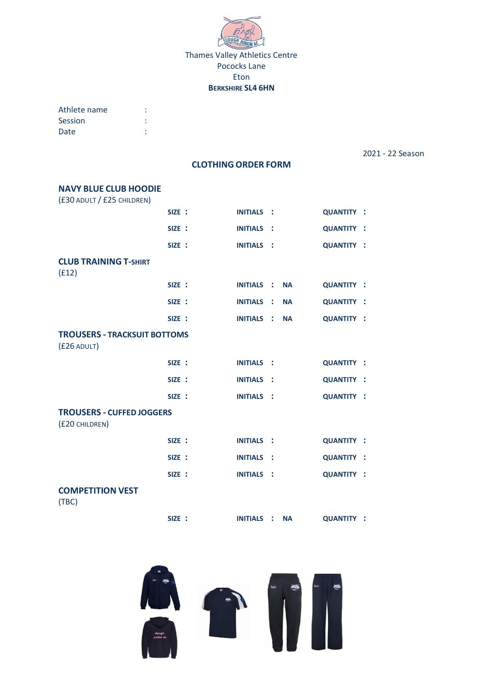

# **BERKSHIRE SL4 6HN**

| Athlete name |  |
|--------------|--|
| Session      |  |
| Date         |  |

2021 - 22 Season

## **CLOTHING ORDER FORM**

| <b>NAVY BLUE CLUB HOODIE</b>                         |        |                   |                |           |                   |  |
|------------------------------------------------------|--------|-------------------|----------------|-----------|-------------------|--|
| (£30 ADULT / £25 CHILDREN)                           |        |                   |                |           |                   |  |
|                                                      | SIZE : | <b>INITIALS</b>   | $\sim$ 1       |           | <b>QUANTITY :</b> |  |
|                                                      | SIZE : | <b>INITIALS</b>   | - 1            |           | <b>QUANTITY :</b> |  |
|                                                      | SIZE : | <b>INITIALS</b>   | - 1            |           | <b>QUANTITY :</b> |  |
| <b>CLUB TRAINING T-SHIRT</b>                         |        |                   |                |           |                   |  |
| (f12)                                                |        |                   |                |           |                   |  |
|                                                      | SIZE : | <b>INITIALS</b>   | - 1            | <b>NA</b> | <b>QUANTITY :</b> |  |
|                                                      | SIZE : | <b>INITIALS</b>   | ÷              | <b>NA</b> | <b>QUANTITY :</b> |  |
|                                                      | SIZE : | <b>INITIALS</b>   | - 11           | <b>NA</b> | <b>QUANTITY :</b> |  |
| <b>TROUSERS - TRACKSUIT BOTTOMS</b><br>$(f26$ ADULT) |        |                   |                |           |                   |  |
|                                                      | SIZE : | <b>INITIALS</b>   | $\sim$ :       |           | <b>QUANTITY :</b> |  |
|                                                      | SIZE : | <b>INITIALS</b>   | - 1            |           | <b>QUANTITY :</b> |  |
|                                                      | SIZE : | <b>INITIALS :</b> |                |           | <b>QUANTITY :</b> |  |
| <b>TROUSERS - CUFFED JOGGERS</b><br>(£20 CHILDREN)   |        |                   |                |           |                   |  |
|                                                      | SIZE : | <b>INITIALS</b>   | - 1            |           | <b>QUANTITY :</b> |  |
|                                                      | SIZE : | <b>INITIALS</b>   | - 1            |           | <b>QUANTITY :</b> |  |
|                                                      | SIZE : | <b>INITIALS</b>   | $\sim$ 1       |           | <b>QUANTITY :</b> |  |
| <b>COMPETITION VEST</b><br>(TBC)                     |        |                   |                |           |                   |  |
|                                                      | SIZE : | <b>INITIALS</b>   | $\mathbb{R}^2$ | <b>NA</b> | <b>QUANTITY:</b>  |  |